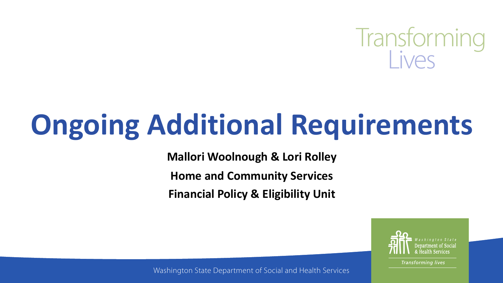

# **Ongoing Additional Requirements**

**Mallori Woolnough & Lori Rolley**

**Home and Community Services**

**Financial Policy & Eligibility Unit** 



**Transforming lives** 

Washington State Department of Social and Health Services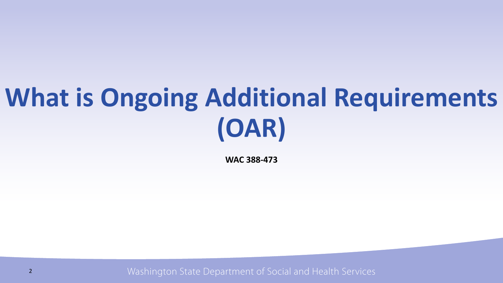## **What is Ongoing Additional Requirements (OAR)**

**WAC 388-473**

Washington State Department of Social and Health Services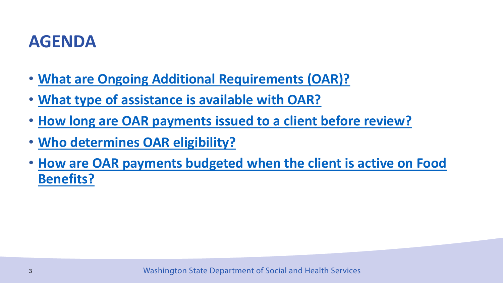#### **[AGENDA](https://manuals.dshs.wa.gov/esa/automated-client-eligibility-system-aces/additional-requirements-ongoing-oar)**

- **What are Ongoing Additional Requirements (O**
- **What type of assistance is available with OAR?**
- **How long are OAR payments issued to a client**
- **Who determines OAR eligibility?**
- **How are OAR payments budgeted when the cli Benefits?**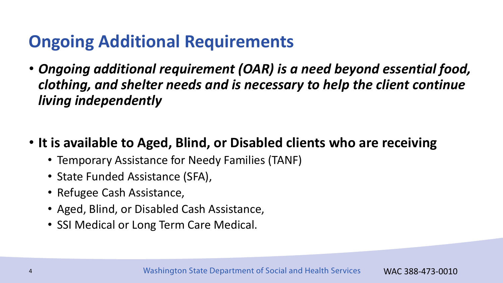## **Ongoing Additional Requirements**

- *Ongoing additional requirement (OAR) is a need beyond essential food, clothing, and shelter needs and is necessary to help the client continue living independently*
- **It is available to Aged, Blind, or Disabled clients who are receiving** 
	- Temporary Assistance for Needy Families (TANF)
	- State Funded Assistance (SFA),
	- Refugee Cash Assistance,
	- Aged, Blind, or Disabled Cash Assistance,
	- SSI Medical or Long Term Care Medical.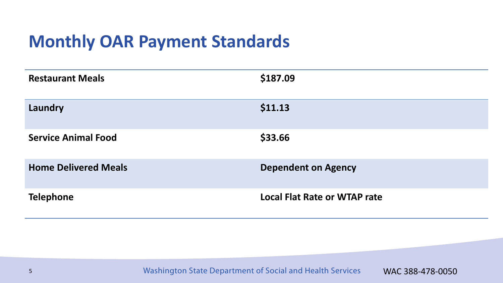### **Monthly OAR Payment Standards**

| <b>Restaurant Meals</b>     | \$187.09                            |
|-----------------------------|-------------------------------------|
| Laundry                     | \$11.13                             |
| <b>Service Animal Food</b>  | \$33.66                             |
| <b>Home Delivered Meals</b> | <b>Dependent on Agency</b>          |
| <b>Telephone</b>            | <b>Local Flat Rate or WTAP rate</b> |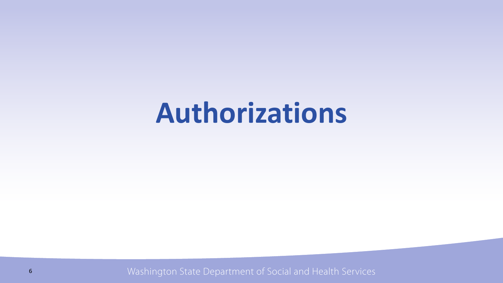## **Authorizations**

Washington State Department of Social and Health Services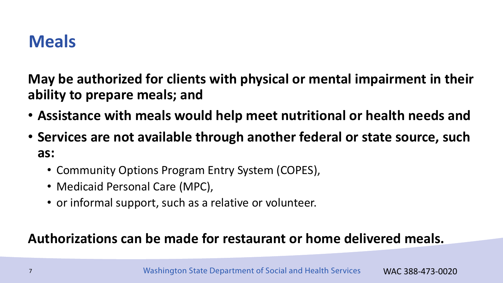### **Meals**

**May be authorized for clients with physical or mental impairment in their ability to prepare meals; and**

- **Assistance with meals would help meet nutritional or health needs and**
- **Services are not available through another federal or state source, such as:**
	- Community Options Program Entry System (COPES),
	- Medicaid Personal Care (MPC),
	- or informal support, such as a relative or volunteer.

#### **Authorizations can be made for restaurant or home delivered meals.**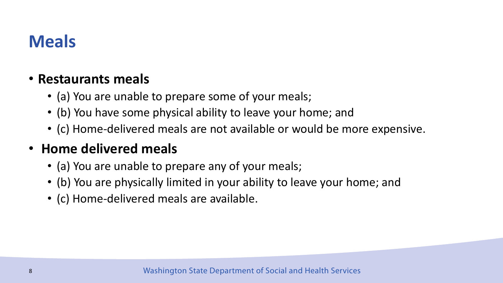## **Meals**

#### • **Restaurants meals**

- (a) You are unable to prepare some of your meals;
- (b) You have some physical ability to leave your home; and
- (c) Home-delivered meals are not available or would be more expensive.

#### • **Home delivered meals**

- (a) You are unable to prepare any of your meals;
- (b) You are physically limited in your ability to leave your home; and
- (c) Home-delivered meals are available.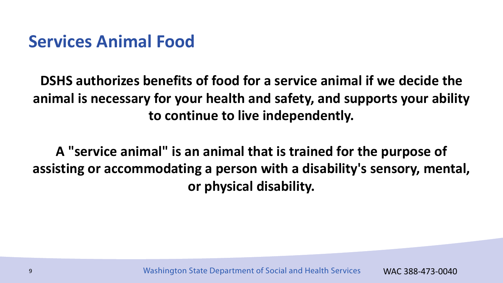#### **Services Animal Food**

**DSHS authorizes benefits of food for a service animal if we decide the animal is necessary for your health and safety, and supports your ability to continue to live independently.** 

**A "service animal" is an animal that is trained for the purpose of assisting or accommodating a person with a disability's sensory, mental, or physical disability.**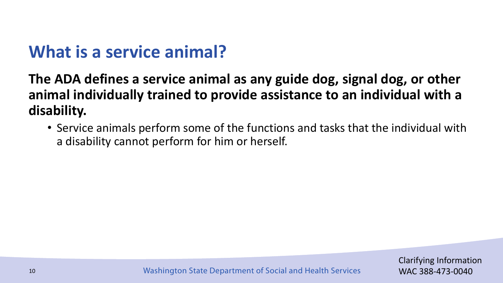## **What is a service animal?**

**The ADA defines a service animal as any guide dog, signal dog, or other animal individually trained to provide assistance to an individual with a disability.**

• Service animals perform some of the functions and tasks that the individual with a disability cannot perform for him or herself.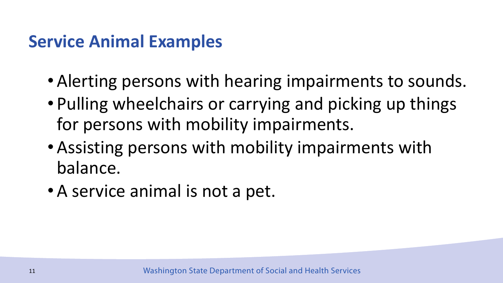#### **Service Animal Examples**

- Alerting persons with hearing impairments to sounds.
- Pulling wheelchairs or carrying and picking up things for persons with mobility impairments.
- Assisting persons with mobility impairments with balance.
- A service animal is not a pet.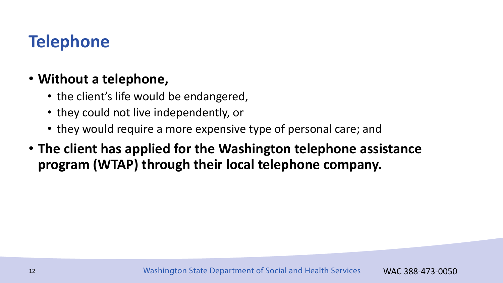## **Telephone**

#### • **Without a telephone,**

- the client's life would be endangered,
- they could not live independently, or
- they would require a more expensive type of personal care; and
- **The client has applied for the Washington telephone assistance program (WTAP) through their local telephone company.**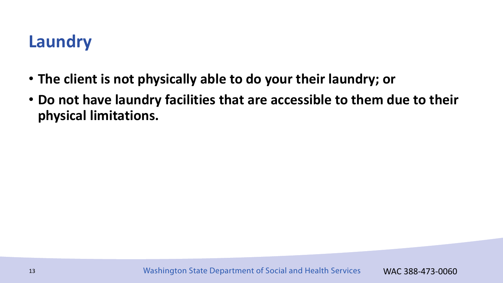## **Laundry**

- **The client is not physically able to do your their laundry; or**
- **Do not have laundry facilities that are accessible to them due to their physical limitations.**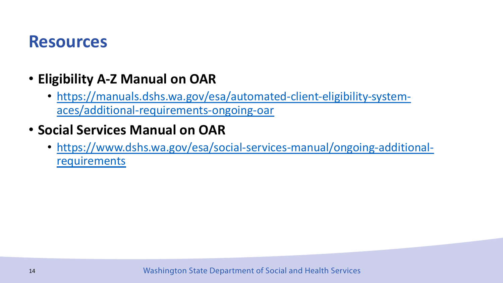#### **R[esources](https://www.dshs.wa.gov/esa/social-services-manual/ongoing-additional-requirements)**

#### • **Eligibility A-Z Manual on OAR**

• https://manuals.dshs.wa.gov/esa/automated-clientaces/additional-requirements-ongoing-oar

#### • **Social Services Manual on OAR**

• https://www.dshs.wa.gov/esa/social-services-manu requirements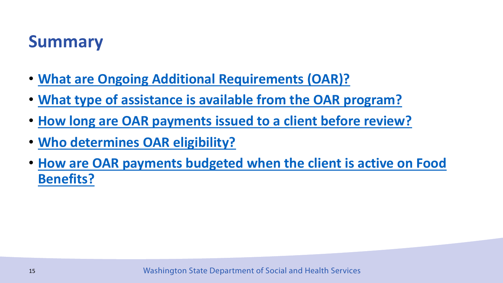#### **[Summary](https://manuals.dshs.wa.gov/esa/automated-client-eligibility-system-aces/additional-requirements-ongoing-oar)**

- **What are Ongoing Additional Requirements (O**
- **What type of assistance is available from the C**
- **How long are OAR payments issued to a client**
- **Who determines OAR eligibility?**
- **How are OAR payments budgeted when the cli Benefits?**